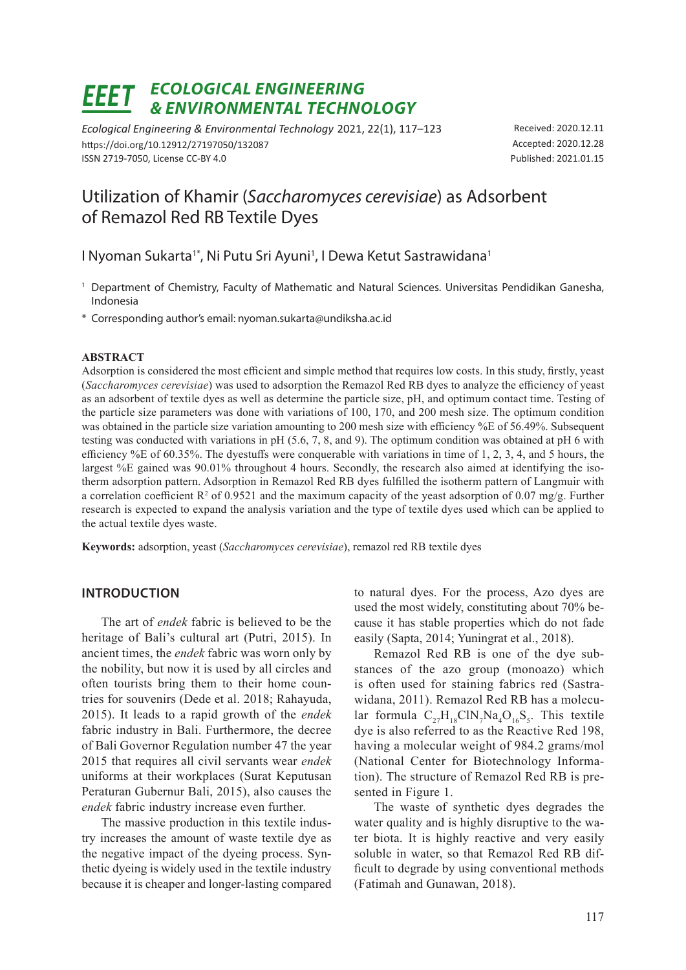# *ECOLOGICAL ENGINEERING & ENVIRONMENTAL TECHNOLOGY*

*Ecological Engineering & Environmental Technology* 2021, 22(1), 117–123 https://doi.org/10.12912/27197050/132087 ISSN 2719-7050, License CC-BY 4.0

Received: 2020.12.11 Accepted: 2020.12.28 Published: 2021.01.15

## Utilization of Khamir (*Saccharomyces cerevisiae*) as Adsorbent of Remazol Red RB Textile Dyes

I Nyoman Sukarta<sup>1\*</sup>, Ni Putu Sri Ayuni<sup>1</sup>, I Dewa Ketut Sastrawidana<sup>1</sup>

- <sup>1</sup> Department of Chemistry, Faculty of Mathematic and Natural Sciences. Universitas Pendidikan Ganesha, Indonesia
- \* Corresponding author's email: nyoman.sukarta@undiksha.ac.id

#### **ABSTRACT**

Adsorption is considered the most efficient and simple method that requires low costs. In this study, firstly, yeast (*Saccharomyces cerevisiae*) was used to adsorption the Remazol Red RB dyes to analyze the efficiency of yeast as an adsorbent of textile dyes as well as determine the particle size, pH, and optimum contact time. Testing of the particle size parameters was done with variations of 100, 170, and 200 mesh size. The optimum condition was obtained in the particle size variation amounting to 200 mesh size with efficiency %E of 56.49%. Subsequent testing was conducted with variations in pH (5.6, 7, 8, and 9). The optimum condition was obtained at pH 6 with efficiency %E of 60.35%. The dyestuffs were conquerable with variations in time of 1, 2, 3, 4, and 5 hours, the largest %E gained was 90.01% throughout 4 hours. Secondly, the research also aimed at identifying the isotherm adsorption pattern. Adsorption in Remazol Red RB dyes fulfilled the isotherm pattern of Langmuir with a correlation coefficient  $\mathbb{R}^2$  of 0.9521 and the maximum capacity of the yeast adsorption of 0.07 mg/g. Further research is expected to expand the analysis variation and the type of textile dyes used which can be applied to the actual textile dyes waste.

**Keywords:** adsorption, yeast (*Saccharomyces cerevisiae*), remazol red RB textile dyes

## **INTRODUCTION**

The art of *endek* fabric is believed to be the heritage of Bali's cultural art (Putri, 2015). In ancient times, the *endek* fabric was worn only by the nobility, but now it is used by all circles and often tourists bring them to their home countries for souvenirs (Dede et al. 2018; Rahayuda, 2015). It leads to a rapid growth of the *endek* fabric industry in Bali. Furthermore, the decree of Bali Governor Regulation number 47 the year 2015 that requires all civil servants wear *endek* uniforms at their workplaces (Surat Keputusan Peraturan Gubernur Bali, 2015), also causes the *endek* fabric industry increase even further.

The massive production in this textile industry increases the amount of waste textile dye as the negative impact of the dyeing process. Synthetic dyeing is widely used in the textile industry because it is cheaper and longer-lasting compared to natural dyes. For the process, Azo dyes are used the most widely, constituting about 70% because it has stable properties which do not fade easily (Sapta, 2014; Yuningrat et al., 2018).

Remazol Red RB is one of the dye substances of the azo group (monoazo) which is often used for staining fabrics red (Sastrawidana, 2011). Remazol Red RB has a molecular formula  $C_{27}H_{18}CIN_{7}Na_{4}O_{16}S_{5}$ . This textile dye is also referred to as the Reactive Red 198, having a molecular weight of 984.2 grams/mol (National Center for Biotechnology Information). The structure of Remazol Red RB is presented in Figure 1.

The waste of synthetic dyes degrades the water quality and is highly disruptive to the water biota. It is highly reactive and very easily soluble in water, so that Remazol Red RB difficult to degrade by using conventional methods (Fatimah and Gunawan, 2018).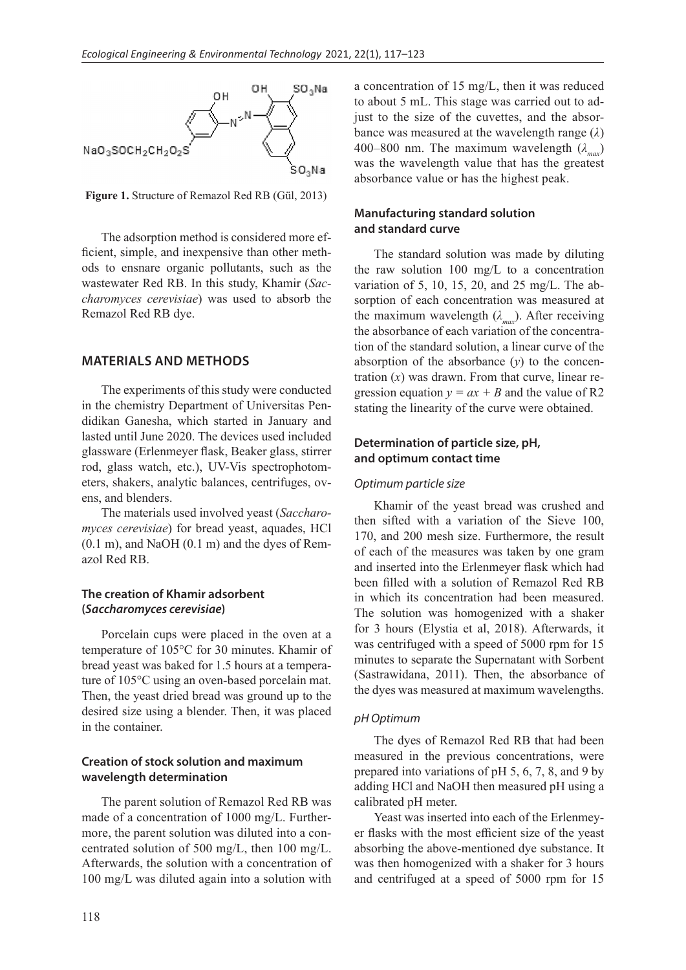

**Figure 1.** Structure of Remazol Red RB (Gül, 2013)

The adsorption method is considered more efficient, simple, and inexpensive than other methods to ensnare organic pollutants, such as the wastewater Red RB. In this study, Khamir (*Saccharomyces cerevisiae*) was used to absorb the Remazol Red RB dye.

## **MATERIALS AND METHODS**

The experiments of this study were conducted in the chemistry Department of Universitas Pendidikan Ganesha, which started in January and lasted until June 2020. The devices used included glassware (Erlenmeyer flask, Beaker glass, stirrer rod, glass watch, etc.), UV-Vis spectrophotometers, shakers, analytic balances, centrifuges, ovens, and blenders.

The materials used involved yeast (*Saccharomyces cerevisiae*) for bread yeast, aquades, HCl (0.1 m), and NaOH (0.1 m) and the dyes of Remazol Red RB.

#### **The creation of Khamir adsorbent (***Saccharomyces cerevisiae***)**

Porcelain cups were placed in the oven at a temperature of 105°C for 30 minutes. Khamir of bread yeast was baked for 1.5 hours at a temperature of 105°C using an oven-based porcelain mat. Then, the yeast dried bread was ground up to the desired size using a blender. Then, it was placed in the container.

## **Creation of stock solution and maximum wavelength determination**

The parent solution of Remazol Red RB was made of a concentration of 1000 mg/L. Furthermore, the parent solution was diluted into a concentrated solution of 500 mg/L, then 100 mg/L. Afterwards, the solution with a concentration of 100 mg/L was diluted again into a solution with

a concentration of 15 mg/L, then it was reduced to about 5 mL. This stage was carried out to adjust to the size of the cuvettes, and the absorbance was measured at the wavelength range (*λ*) 400–800 nm. The maximum wavelength  $(\lambda_{\text{max}})$ was the wavelength value that has the greatest absorbance value or has the highest peak.

## **Manufacturing standard solution and standard curve**

The standard solution was made by diluting the raw solution 100 mg/L to a concentration variation of 5, 10, 15, 20, and 25 mg/L. The absorption of each concentration was measured at the maximum wavelength  $(\lambda_{max})$ . After receiving the absorbance of each variation of the concentration of the standard solution, a linear curve of the absorption of the absorbance  $(y)$  to the concentration (*x*) was drawn. From that curve, linear regression equation  $y = ax + B$  and the value of R2 stating the linearity of the curve were obtained.

## **Determination of particle size, pH, and optimum contact time**

#### *Optimum particle size*

Khamir of the yeast bread was crushed and then sifted with a variation of the Sieve 100, 170, and 200 mesh size. Furthermore, the result of each of the measures was taken by one gram and inserted into the Erlenmeyer flask which had been filled with a solution of Remazol Red RB in which its concentration had been measured. The solution was homogenized with a shaker for 3 hours (Elystia et al, 2018). Afterwards, it was centrifuged with a speed of 5000 rpm for 15 minutes to separate the Supernatant with Sorbent (Sastrawidana, 2011). Then, the absorbance of the dyes was measured at maximum wavelengths.

#### *pH Optimum*

The dyes of Remazol Red RB that had been measured in the previous concentrations, were prepared into variations of pH 5, 6, 7, 8, and 9 by adding HCl and NaOH then measured pH using a calibrated pH meter.

Yeast was inserted into each of the Erlenmeyer flasks with the most efficient size of the yeast absorbing the above-mentioned dye substance. It was then homogenized with a shaker for 3 hours and centrifuged at a speed of 5000 rpm for 15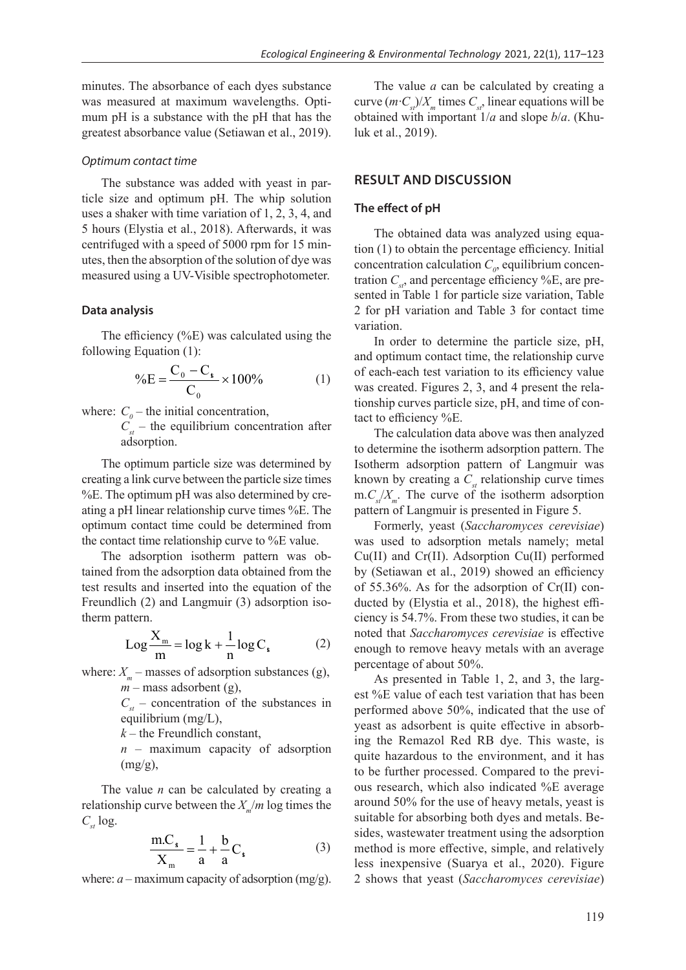minutes. The absorbance of each dyes substance was measured at maximum wavelengths. Optimum pH is a substance with the pH that has the greatest absorbance value (Setiawan et al., 2019).

#### *Optimum contact time*

The substance was added with yeast in particle size and optimum pH. The whip solution uses a shaker with time variation of 1, 2, 3, 4, and 5 hours (Elystia et al., 2018). Afterwards, it was centrifuged with a speed of 5000 rpm for 15 minutes, then the absorption of the solution of dye was measured using a UV-Visible spectrophotometer.

### **Data analysis**

The efficiency (%E) was calculated using the following Equation (1):

$$
\%E = \frac{C_0 - C_*}{C_0} \times 100\% \tag{1}
$$

where:  $C_{\theta}$  – the initial concentration,

 $C_{st}$  – the equilibrium concentration after adsorption.

The optimum particle size was determined by creating a link curve between the particle size times %E. The optimum pH was also determined by creating a pH linear relationship curve times %E. The optimum contact time could be determined from the contact time relationship curve to %E value.

The adsorption isotherm pattern was obtained from the adsorption data obtained from the test results and inserted into the equation of the Freundlich (2) and Langmuir (3) adsorption isotherm pattern.

$$
Log \frac{X_m}{m} = log k + \frac{1}{n} log C_s
$$
 (2)

where:  $X_m$  – masses of adsorption substances (g),  $m$  – mass adsorbent (g),

> $C_{st}$  – concentration of the substances in equilibrium (mg/L),

 $k$  – the Freundlich constant,

*n* – maximum capacity of adsorption  $(mg/g)$ ,

The value *n* can be calculated by creating a relationship curve between the  $X_m/m$  log times the  $C_{st}$  log.

$$
\frac{m.C_s}{X_m} = \frac{1}{a} + \frac{b}{a}C_s
$$
 (3)

where:  $a$  – maximum capacity of adsorption (mg/g).

The value *a* can be calculated by creating a curve  $(m \cdot C_{st})/X_m$  times  $C_{st}$ , linear equations will be obtained with important 1/*a* and slope *b*/*a*. (Khuluk et al., 2019).

## **RESULT AND DISCUSSION**

#### **The effect of pH**

The obtained data was analyzed using equation (1) to obtain the percentage efficiency. Initial concentration calculation  $C_{\rho}$ , equilibrium concentration  $C_{st}$ , and percentage efficiency %E, are presented in Table 1 for particle size variation, Table 2 for pH variation and Table 3 for contact time variation.

In order to determine the particle size, pH, and optimum contact time, the relationship curve of each-each test variation to its efficiency value was created. Figures 2, 3, and 4 present the relationship curves particle size, pH, and time of contact to efficiency %E.

The calculation data above was then analyzed to determine the isotherm adsorption pattern. The Isotherm adsorption pattern of Langmuir was known by creating a  $C_{st}$  relationship curve times  $m.C_x/X_m$ . The curve of the isotherm adsorption pattern of Langmuir is presented in Figure 5.

Formerly, yeast (*Saccharomyces cerevisiae*) was used to adsorption metals namely; metal Cu(II) and Cr(II). Adsorption Cu(II) performed by (Setiawan et al., 2019) showed an efficiency of 55.36%. As for the adsorption of Cr(II) conducted by (Elystia et al., 2018), the highest efficiency is 54.7%. From these two studies, it can be noted that *Saccharomyces cerevisiae* is effective enough to remove heavy metals with an average percentage of about 50%.

As presented in Table 1, 2, and 3, the largest %E value of each test variation that has been performed above 50%, indicated that the use of yeast as adsorbent is quite effective in absorbing the Remazol Red RB dye. This waste, is quite hazardous to the environment, and it has to be further processed. Compared to the previous research, which also indicated %E average around 50% for the use of heavy metals, yeast is suitable for absorbing both dyes and metals. Besides, wastewater treatment using the adsorption method is more effective, simple, and relatively less inexpensive (Suarya et al., 2020). Figure 2 shows that yeast (*Saccharomyces cerevisiae*)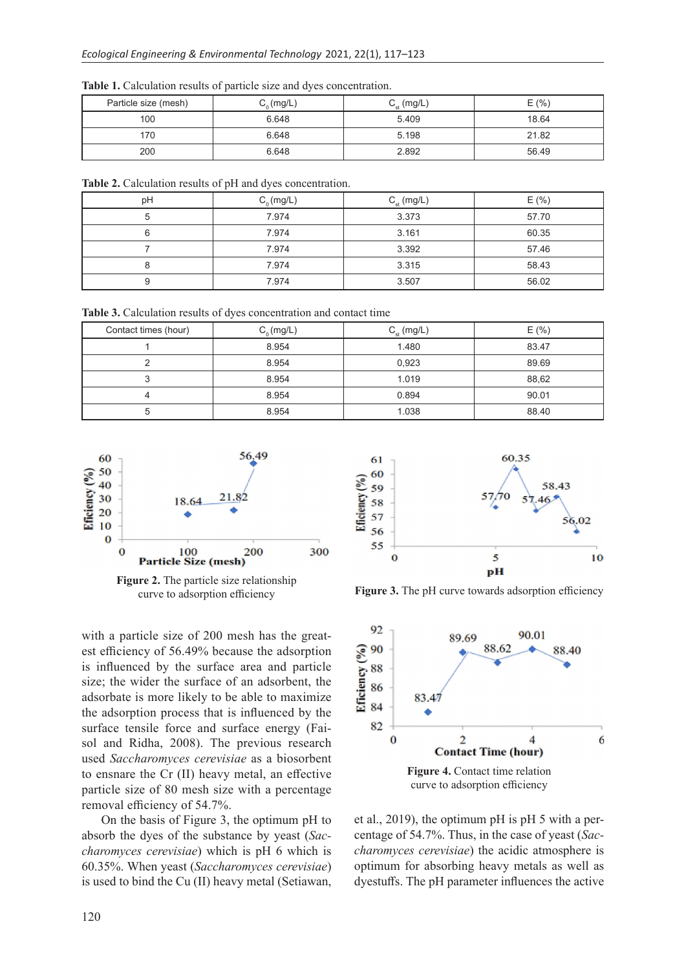| Particle size (mesh) | $\mathsf{C}_{_\Omega}(\mathsf{mg}/\mathsf{L})$ | $C_{st}$ (mg/L) | E(% ) |
|----------------------|------------------------------------------------|-----------------|-------|
| 100                  | 6.648                                          | 5.409           | 18.64 |
| 170                  | 6.648                                          | 5.198           | 21.82 |
| 200                  | 6.648                                          | 2.892           | 56.49 |

**Table 1.** Calculation results of particle size and dyes concentration.

**Table 2.** Calculation results of pH and dyes concentration.

| pH | $C_n$ (mg/L) | $C_{st}$ (mg/L) | E(% ) |
|----|--------------|-----------------|-------|
|    | 7.974        | 3.373           | 57.70 |
|    | 7.974        | 3.161           | 60.35 |
|    | 7.974        | 3.392           | 57.46 |
|    | 7.974        | 3.315           | 58.43 |
|    | 7.974        | 3.507           | 56.02 |

**Table 3.** Calculation results of dyes concentration and contact time

| Contact times (hour) | $C_0$ (mg/L) | $C_{st}$ (mg/L) | E(% ) |
|----------------------|--------------|-----------------|-------|
|                      | 8.954        | 1.480           | 83.47 |
|                      | 8.954        | 0,923           | 89.69 |
|                      | 8.954        | 1.019           | 88,62 |
|                      | 8.954        | 0.894           | 90.01 |
| :C                   | 8.954        | 1.038           | 88.40 |



curve to adsorption efficiency

with a particle size of 200 mesh has the greatest efficiency of 56.49% because the adsorption is influenced by the surface area and particle size; the wider the surface of an adsorbent, the adsorbate is more likely to be able to maximize the adsorption process that is influenced by the surface tensile force and surface energy (Faisol and Ridha, 2008). The previous research used *Saccharomyces cerevisiae* as a biosorbent to ensnare the Cr (II) heavy metal, an effective particle size of 80 mesh size with a percentage removal efficiency of 54.7%.

On the basis of Figure 3, the optimum pH to absorb the dyes of the substance by yeast (*Saccharomyces cerevisiae*) which is pH 6 which is 60.35%. When yeast (*Saccharomyces cerevisiae*) is used to bind the Cu (II) heavy metal (Setiawan,





et al., 2019), the optimum pH is pH 5 with a percentage of 54.7%. Thus, in the case of yeast (*Saccharomyces cerevisiae*) the acidic atmosphere is optimum for absorbing heavy metals as well as dyestuffs. The pH parameter influences the active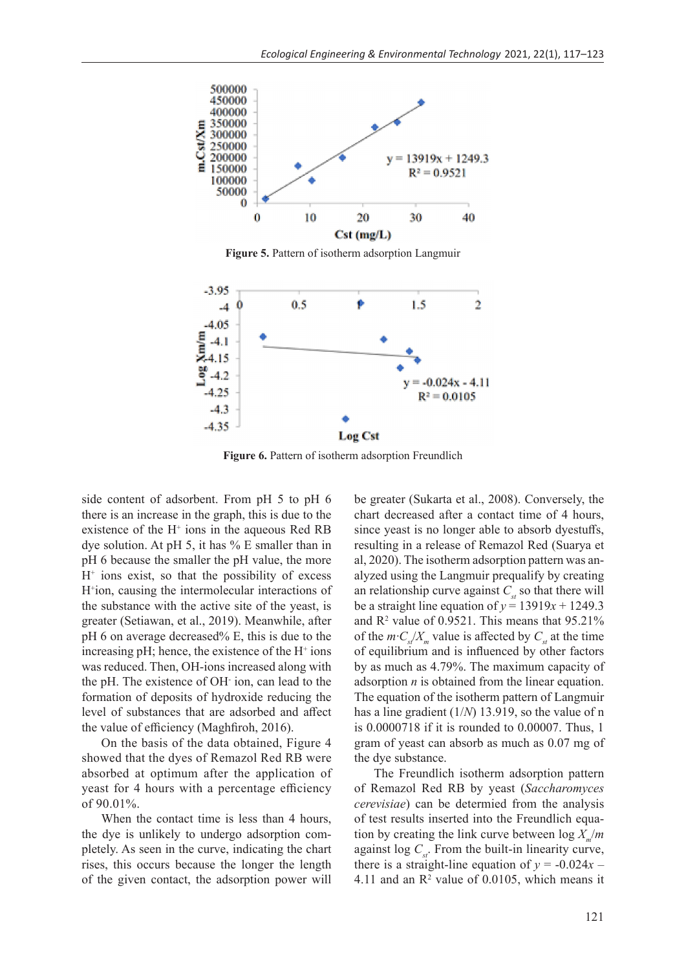

**Figure 5.** Pattern of isotherm adsorption Langmuir



**Figure 6.** Pattern of isotherm adsorption Freundlich

side content of adsorbent. From pH 5 to pH 6 there is an increase in the graph, this is due to the existence of the  $H^+$  ions in the aqueous Red RB dye solution. At pH 5, it has % E smaller than in pH 6 because the smaller the pH value, the more H+ ions exist, so that the possibility of excess H+ ion, causing the intermolecular interactions of the substance with the active site of the yeast, is greater (Setiawan, et al., 2019). Meanwhile, after pH 6 on average decreased% E, this is due to the increasing  $pH$ ; hence, the existence of the  $H^+$  ions was reduced. Then, OH-ions increased along with the pH. The existence of OH- ion, can lead to the formation of deposits of hydroxide reducing the level of substances that are adsorbed and affect the value of efficiency (Maghfiroh, 2016).

On the basis of the data obtained, Figure 4 showed that the dyes of Remazol Red RB were absorbed at optimum after the application of yeast for 4 hours with a percentage efficiency of 90.01%.

When the contact time is less than 4 hours, the dye is unlikely to undergo adsorption completely. As seen in the curve, indicating the chart rises, this occurs because the longer the length of the given contact, the adsorption power will be greater (Sukarta et al., 2008). Conversely, the chart decreased after a contact time of 4 hours, since yeast is no longer able to absorb dyestuffs, resulting in a release of Remazol Red (Suarya et al, 2020). The isotherm adsorption pattern was analyzed using the Langmuir prequalify by creating an relationship curve against  $C_{st}$  so that there will be a straight line equation of  $y = 13919x + 1249.3$ and  $\mathbb{R}^2$  value of 0.9521. This means that 95.21% of the  $m \cdot C / X_{n}$  value is affected by  $C_{n}$  at the time of equilibrium and is influenced by other factors by as much as 4.79%. The maximum capacity of adsorption *n* is obtained from the linear equation. The equation of the isotherm pattern of Langmuir has a line gradient (1/*N*) 13.919, so the value of n is 0.0000718 if it is rounded to 0.00007. Thus, 1 gram of yeast can absorb as much as 0.07 mg of the dye substance.

The Freundlich isotherm adsorption pattern of Remazol Red RB by yeast (*Saccharomyces cerevisiae*) can be determied from the analysis of test results inserted into the Freundlich equation by creating the link curve between  $\log X/m$ against  $\log C_{st}$ . From the built-in linearity curve, there is a straight-line equation of  $y = -0.024x$  – 4.11 and an  $\mathbb{R}^2$  value of 0.0105, which means it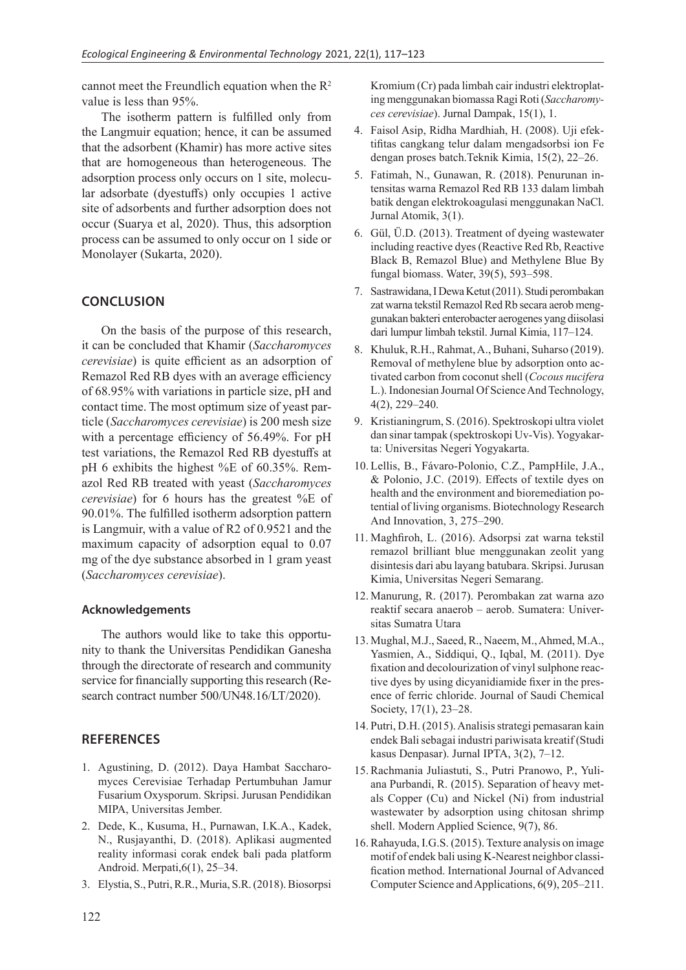cannot meet the Freundlich equation when the  $R^2$ value is less than 95%.

The isotherm pattern is fulfilled only from the Langmuir equation; hence, it can be assumed that the adsorbent (Khamir) has more active sites that are homogeneous than heterogeneous. The adsorption process only occurs on 1 site, molecular adsorbate (dyestuffs) only occupies 1 active site of adsorbents and further adsorption does not occur (Suarya et al, 2020). Thus, this adsorption process can be assumed to only occur on 1 side or Monolayer (Sukarta, 2020).

## **CONCLUSION**

On the basis of the purpose of this research, it can be concluded that Khamir (*Saccharomyces cerevisiae*) is quite efficient as an adsorption of Remazol Red RB dyes with an average efficiency of 68.95% with variations in particle size, pH and contact time. The most optimum size of yeast particle (*Saccharomyces cerevisiae*) is 200 mesh size with a percentage efficiency of 56.49%. For pH test variations, the Remazol Red RB dyestuffs at pH 6 exhibits the highest %E of 60.35%. Remazol Red RB treated with yeast (*Saccharomyces cerevisiae*) for 6 hours has the greatest %E of 90.01%. The fulfilled isotherm adsorption pattern is Langmuir, with a value of R2 of 0.9521 and the maximum capacity of adsorption equal to 0.07 mg of the dye substance absorbed in 1 gram yeast (*Saccharomyces cerevisiae*).

## **Acknowledgements**

The authors would like to take this opportunity to thank the Universitas Pendidikan Ganesha through the directorate of research and community service for financially supporting this research (Research contract number 500/UN48.16/LT/2020).

## **REFERENCES**

- 1. Agustining, D. (2012). Daya Hambat Saccharomyces Cerevisiae Terhadap Pertumbuhan Jamur Fusarium Oxysporum. Skripsi. Jurusan Pendidikan MIPA, Universitas Jember.
- 2. Dede, K., Kusuma, H., Purnawan, I.K.A., Kadek, N., Rusjayanthi, D. (2018). Aplikasi augmented reality informasi corak endek bali pada platform Android. Merpati,6(1), 25–34.
- 3. Elystia, S., Putri, R.R., Muria, S.R. (2018). Biosorpsi

Kromium (Cr) pada limbah cair industri elektroplating menggunakan biomassa Ragi Roti (*Saccharomyces cerevisiae*). Jurnal Dampak, 15(1), 1.

- 4. Faisol Asip, Ridha Mardhiah, H. (2008). Uji efektifitas cangkang telur dalam mengadsorbsi ion Fe dengan proses batch.Teknik Kimia, 15(2), 22–26.
- 5. Fatimah, N., Gunawan, R. (2018). Penurunan intensitas warna Remazol Red RB 133 dalam limbah batik dengan elektrokoagulasi menggunakan NaCl. Jurnal Atomik, 3(1).
- 6. Gül, Ü.D. (2013). Treatment of dyeing wastewater including reactive dyes (Reactive Red Rb, Reactive Black B, Remazol Blue) and Methylene Blue By fungal biomass. Water, 39(5), 593–598.
- 7. Sastrawidana, I Dewa Ketut (2011). Studi perombakan zat warna tekstil Remazol Red Rb secara aerob menggunakan bakteri enterobacter aerogenes yang diisolasi dari lumpur limbah tekstil. Jurnal Kimia, 117–124.
- 8. Khuluk, R.H., Rahmat, A., Buhani, Suharso (2019). Removal of methylene blue by adsorption onto activated carbon from coconut shell (*Cocous nucifera* L.). Indonesian Journal Of Science And Technology, 4(2), 229–240.
- 9. Kristianingrum, S. (2016). Spektroskopi ultra violet dan sinar tampak (spektroskopi Uv-Vis). Yogyakarta: Universitas Negeri Yogyakarta.
- 10. Lellis, B., Fávaro-Polonio, C.Z., PampHile, J.A., & Polonio, J.C. (2019). Effects of textile dyes on health and the environment and bioremediation potential of living organisms. Biotechnology Research And Innovation, 3, 275–290.
- 11. Maghfiroh, L. (2016). Adsorpsi zat warna tekstil remazol brilliant blue menggunakan zeolit yang disintesis dari abu layang batubara. Skripsi. Jurusan Kimia, Universitas Negeri Semarang.
- 12. Manurung, R. (2017). Perombakan zat warna azo reaktif secara anaerob – aerob. Sumatera: Universitas Sumatra Utara
- 13. Mughal, M.J., Saeed, R., Naeem, M., Ahmed, M.A., Yasmien, A., Siddiqui, Q., Iqbal, M. (2011). Dye fixation and decolourization of vinyl sulphone reactive dyes by using dicyanidiamide fixer in the presence of ferric chloride. Journal of Saudi Chemical Society, 17(1), 23–28.
- 14. Putri, D.H. (2015). Analisis strategi pemasaran kain endek Bali sebagai industri pariwisata kreatif (Studi kasus Denpasar). Jurnal IPTA, 3(2), 7–12.
- 15. Rachmania Juliastuti, S., Putri Pranowo, P., Yuliana Purbandi, R. (2015). Separation of heavy metals Copper (Cu) and Nickel (Ni) from industrial wastewater by adsorption using chitosan shrimp shell. Modern Applied Science, 9(7), 86.
- 16. Rahayuda, I.G.S. (2015). Texture analysis on image motif of endek bali using K-Nearest neighbor classification method. International Journal of Advanced Computer Science and Applications, 6(9), 205–211.